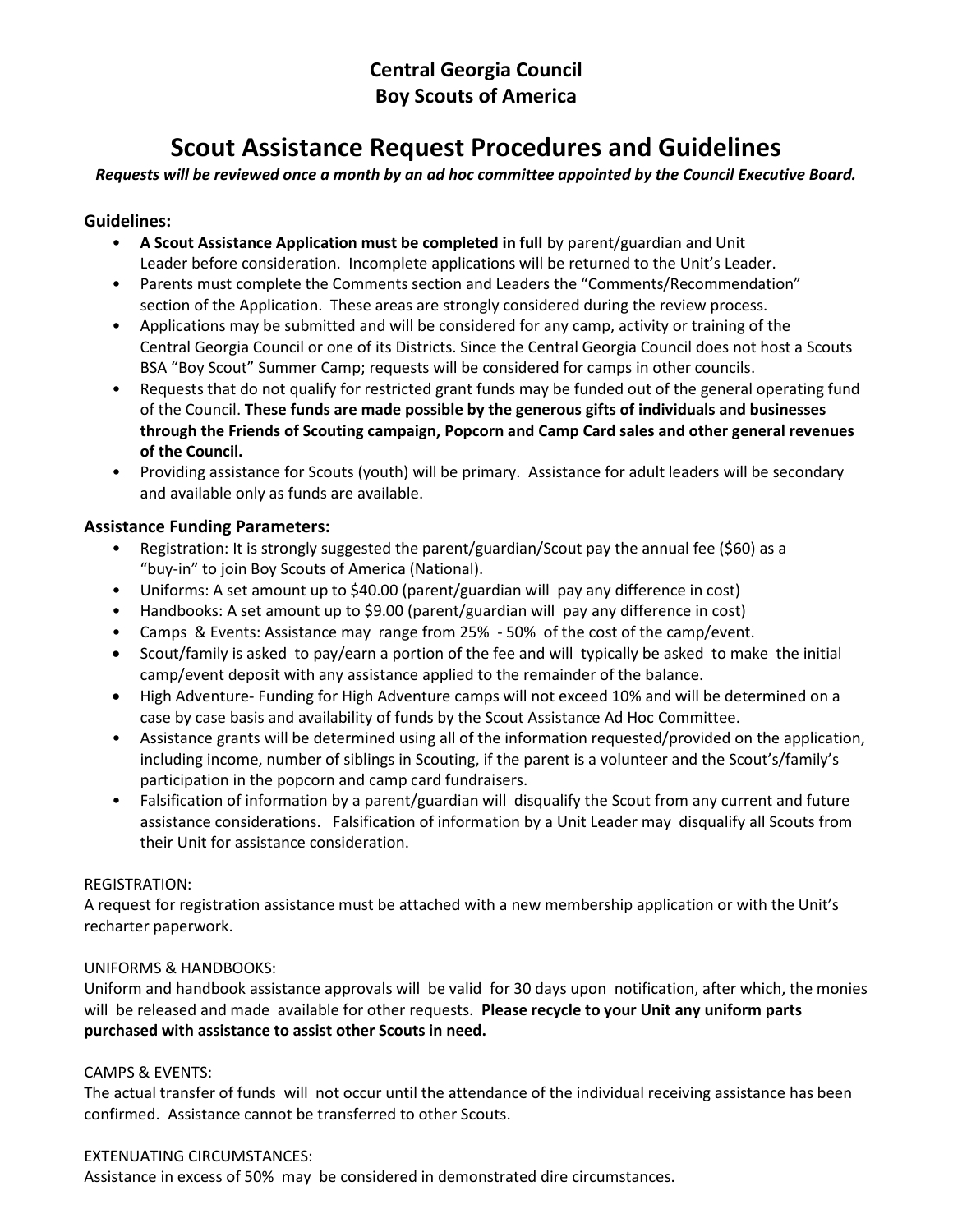### **Central Georgia Council Boy Scouts of America**

# **Scout Assistance Request Procedures and Guidelines**

*Requests will be reviewed once a month by an ad hoc committee appointed by the Council Executive Board.* 

#### **Guidelines:**

- **A Scout Assistance Application must be completed in full** by parent/guardian and Unit Leader before consideration. Incomplete applications will be returned to the Unit's Leader.
- Parents must complete the Comments section and Leaders the "Comments/Recommendation" section of the Application. These areas are strongly considered during the review process.
- Applications may be submitted and will be considered for any camp, activity or training of the Central Georgia Council or one of its Districts. Since the Central Georgia Council does not host a Scouts BSA "Boy Scout" Summer Camp; requests will be considered for camps in other councils.
- Requests that do not qualify for restricted grant funds may be funded out of the general operating fund of the Council. **These funds are made possible by the generous gifts of individuals and businesses through the Friends of Scouting campaign, Popcorn and Camp Card sales and other general revenues of the Council.**
- Providing assistance for Scouts (youth) will be primary. Assistance for adult leaders will be secondary and available only as funds are available.

#### **Assistance Funding Parameters:**

- Registration: It is strongly suggested the parent/guardian/Scout pay the annual fee (\$60) as a "buy-in" to join Boy Scouts of America (National).
- Uniforms: A set amount up to \$40.00 (parent/guardian will pay any difference in cost)
- Handbooks: A set amount up to \$9.00 (parent/guardian will pay any difference in cost)
- Camps & Events: Assistance may range from 25% 50% of the cost of the camp/event.
- Scout/family is asked to pay/earn a portion of the fee and will typically be asked to make the initial camp/event deposit with any assistance applied to the remainder of the balance.
- High Adventure- Funding for High Adventure camps will not exceed 10% and will be determined on a case by case basis and availability of funds by the Scout Assistance Ad Hoc Committee.
- Assistance grants will be determined using all of the information requested/provided on the application, including income, number of siblings in Scouting, if the parent is a volunteer and the Scout's/family's participation in the popcorn and camp card fundraisers.
- Falsification of information by a parent/guardian will disqualify the Scout from any current and future assistance considerations. Falsification of information by a Unit Leader may disqualify all Scouts from their Unit for assistance consideration.

#### REGISTRATION:

A request for registration assistance must be attached with a new membership application or with the Unit's recharter paperwork.

#### UNIFORMS & HANDBOOKS:

Uniform and handbook assistance approvals will be valid for 30 days upon notification, after which, the monies will be released and made available for other requests. **Please recycle to your Unit any uniform parts purchased with assistance to assist other Scouts in need.**

#### CAMPS & EVENTS:

The actual transfer of funds will not occur until the attendance of the individual receiving assistance has been confirmed. Assistance cannot be transferred to other Scouts.

#### EXTENUATING CIRCUMSTANCES:

Assistance in excess of 50% may be considered in demonstrated dire circumstances.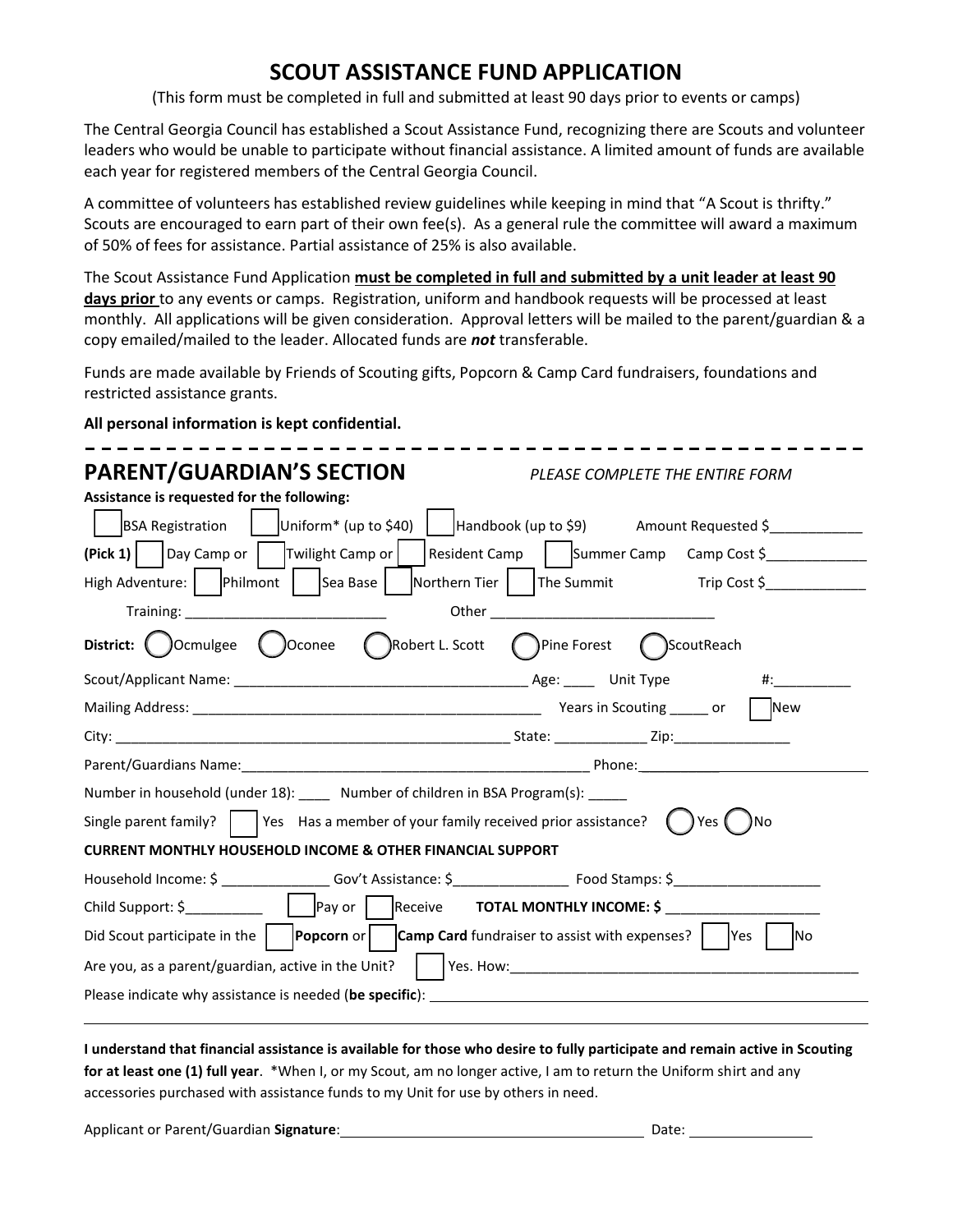# **SCOUT ASSISTANCE FUND APPLICATION**

(This form must be completed in full and submitted at least 90 days prior to events or camps)

The Central Georgia Council has established a Scout Assistance Fund, recognizing there are Scouts and volunteer leaders who would be unable to participate without financial assistance. A limited amount of funds are available each year for registered members of the Central Georgia Council.

A committee of volunteers has established review guidelines while keeping in mind that "A Scout is thrifty." Scouts are encouraged to earn part of their own fee(s). As a general rule the committee will award a maximum of 50% of fees for assistance. Partial assistance of 25% is also available.

The Scout Assistance Fund Application **must be completed in full and submitted by a unit leader at least 90 days prior** to any events or camps. Registration, uniform and handbook requests will be processed at least monthly. All applications will be given consideration. Approval letters will be mailed to the parent/guardian & a copy emailed/mailed to the leader. Allocated funds are *not* transferable.

Funds are made available by Friends of Scouting gifts, Popcorn & Camp Card fundraisers, foundations and restricted assistance grants.

**All personal information is kept confidential.**

| <b>PARENT/GUARDIAN'S SECTION</b>                                                                                                                                                                                               | PLEASE COMPLETE THE ENTIRE FORM          |  |  |  |
|--------------------------------------------------------------------------------------------------------------------------------------------------------------------------------------------------------------------------------|------------------------------------------|--|--|--|
| Assistance is requested for the following:                                                                                                                                                                                     |                                          |  |  |  |
| BSA Registration   Uniform* (up to \$40)   Handbook (up to \$9) Amount Requested \$                                                                                                                                            |                                          |  |  |  |
| $\left(\text{Pick 1}\right)$   Day Camp or   Twilight Camp or                                                                                                                                                                  | Resident Camp   Summer Camp Camp Cost \$ |  |  |  |
| High Adventure:   Philmont   Sea Base   Northern Tier   The Summit Trip Cost \$                                                                                                                                                |                                          |  |  |  |
|                                                                                                                                                                                                                                |                                          |  |  |  |
| District: OCcmulgee OCconee ORobert L. Scott OPine Forest OScoutReach                                                                                                                                                          |                                          |  |  |  |
|                                                                                                                                                                                                                                |                                          |  |  |  |
|                                                                                                                                                                                                                                |                                          |  |  |  |
|                                                                                                                                                                                                                                |                                          |  |  |  |
| Parent/Guardians Name: Name and Contract and Contract and Contract and Phone: Name and Phone: Name and Contract and Contract and Contract and Contract and Contract and Contract and Contract and Contract and Contract and Co |                                          |  |  |  |
| Number in household (under 18): ____ Number of children in BSA Program(s): _____                                                                                                                                               |                                          |  |  |  |
| Single parent family? $\vert$   Yes Has a member of your family received prior assistance? $\vert$   Yes $\vert$                                                                                                               | )No                                      |  |  |  |
| <b>CURRENT MONTHLY HOUSEHOLD INCOME &amp; OTHER FINANCIAL SUPPORT</b>                                                                                                                                                          |                                          |  |  |  |
|                                                                                                                                                                                                                                |                                          |  |  |  |
|                                                                                                                                                                                                                                |                                          |  |  |  |
| Did Scout participate in the $\vert$   <b>Popcorn</b> or $\vert$   <b>Camp Card</b> fundraiser to assist with expenses? $\vert$   Yes                                                                                          | <b>No</b>                                |  |  |  |
|                                                                                                                                                                                                                                |                                          |  |  |  |
| Please indicate why assistance is needed (be specific): The manufacture of the specific of the specific of the specific of the specific of the specific of the specific of the specific of the specific of the specific of the |                                          |  |  |  |
|                                                                                                                                                                                                                                |                                          |  |  |  |

**I understand that financial assistance is available for those who desire to fully participate and remain active in Scouting for at least one (1) full year**. \*When I, or my Scout, am no longer active, I am to return the Uniform shirt and any accessories purchased with assistance funds to my Unit for use by others in need.

Applicant or Parent/Guardian **Signature**: <u>Date: Date: Date: Date: Date: Date: Date: Date: Date: Date: Date: Date: Date: Date: Date: Date: Date: Date: Date: Date: Date: Date: Date: Date: Date: Date: Date: Date: Date: Date:</u>

| Date: |  |
|-------|--|
|       |  |